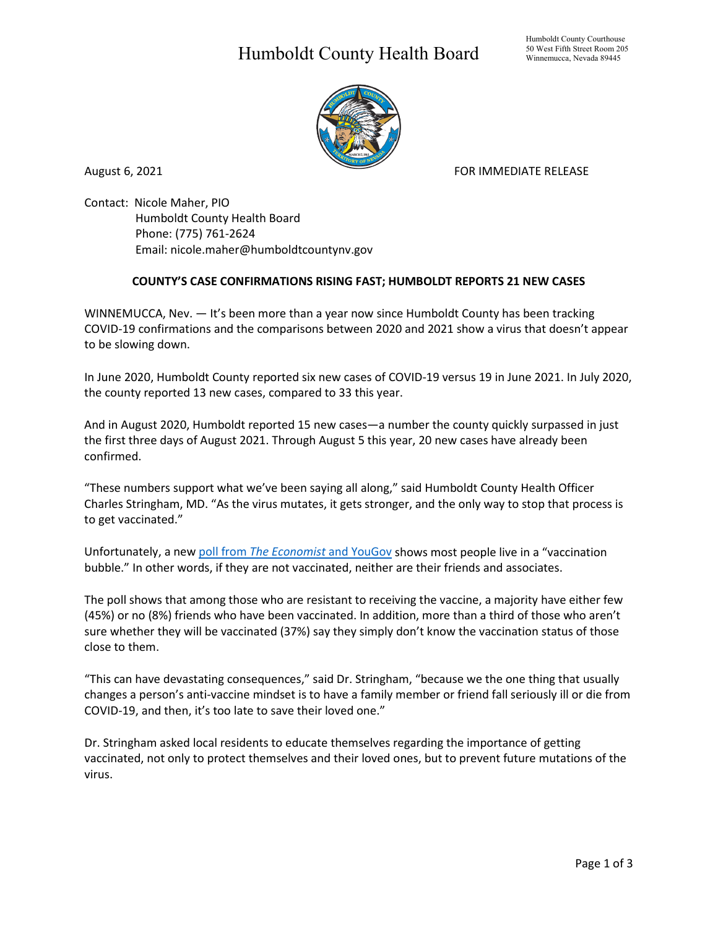## Humboldt County Health Board



August 6, 2021 **FOR IMMEDIATE RELEASE** 

Contact: Nicole Maher, PIO Humboldt County Health Board Phone: (775) 761-2624 Email: nicole.maher@humboldtcountynv.gov

## **COUNTY'S CASE CONFIRMATIONS RISING FAST; HUMBOLDT REPORTS 21 NEW CASES**

WINNEMUCCA, Nev. — It's been more than a year now since Humboldt County has been tracking COVID-19 confirmations and the comparisons between 2020 and 2021 show a virus that doesn't appear to be slowing down.

In June 2020, Humboldt County reported six new cases of COVID-19 versus 19 in June 2021. In July 2020, the county reported 13 new cases, compared to 33 this year.

And in August 2020, Humboldt reported 15 new cases—a number the county quickly surpassed in just the first three days of August 2021. Through August 5 this year, 20 new cases have already been confirmed.

"These numbers support what we've been saying all along," said Humboldt County Health Officer Charles Stringham, MD. "As the virus mutates, it gets stronger, and the only way to stop that process is to get vaccinated."

Unfortunately, a new poll from *[The Economist](https://today.yougov.com/topics/politics/articles-reports/2021/06/08/bubble-coronavirus-vaccination-poll)* and YouGov shows most people live in a "vaccination bubble." In other words, if they are not vaccinated, neither are their friends and associates.

The poll shows that among those who are resistant to receiving the vaccine, a majority have either few (45%) or no (8%) friends who have been vaccinated. In addition, more than a third of those who aren't sure whether they will be vaccinated (37%) say they simply don't know the vaccination status of those close to them.

"This can have devastating consequences," said Dr. Stringham, "because we the one thing that usually changes a person's anti-vaccine mindset is to have a family member or friend fall seriously ill or die from COVID-19, and then, it's too late to save their loved one."

Dr. Stringham asked local residents to educate themselves regarding the importance of getting vaccinated, not only to protect themselves and their loved ones, but to prevent future mutations of the virus.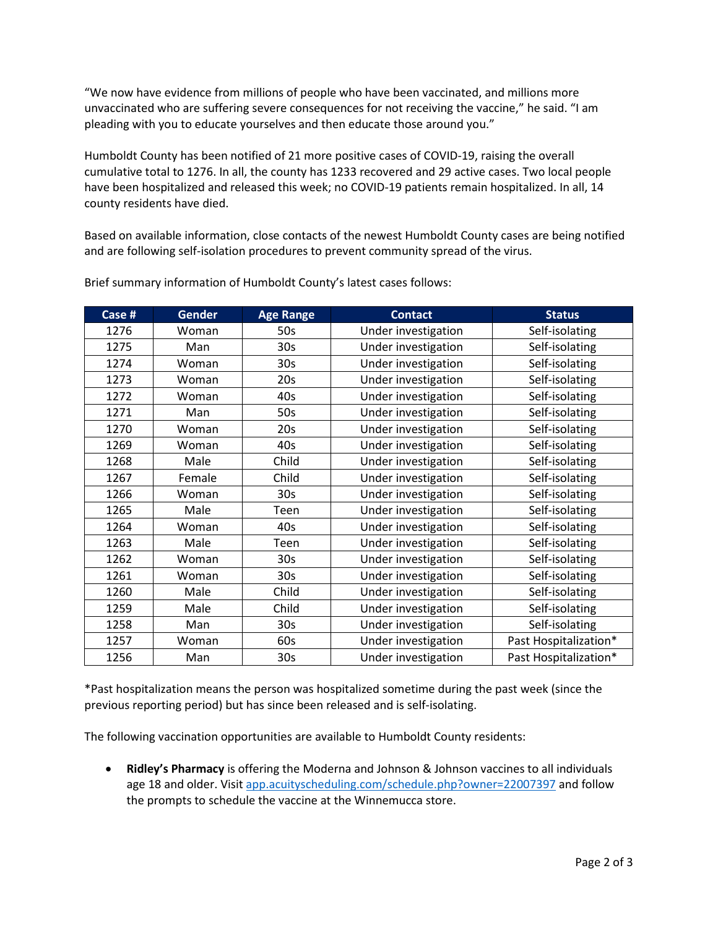"We now have evidence from millions of people who have been vaccinated, and millions more unvaccinated who are suffering severe consequences for not receiving the vaccine," he said. "I am pleading with you to educate yourselves and then educate those around you."

Humboldt County has been notified of 21 more positive cases of COVID-19, raising the overall cumulative total to 1276. In all, the county has 1233 recovered and 29 active cases. Two local people have been hospitalized and released this week; no COVID-19 patients remain hospitalized. In all, 14 county residents have died.

Based on available information, close contacts of the newest Humboldt County cases are being notified and are following self-isolation procedures to prevent community spread of the virus.

| Case # | <b>Gender</b> | <b>Age Range</b> | <b>Contact</b>      | <b>Status</b>         |
|--------|---------------|------------------|---------------------|-----------------------|
| 1276   | Woman         | 50s              | Under investigation | Self-isolating        |
| 1275   | Man           | 30 <sub>s</sub>  | Under investigation | Self-isolating        |
| 1274   | Woman         | 30 <sub>s</sub>  | Under investigation | Self-isolating        |
| 1273   | Woman         | 20s              | Under investigation | Self-isolating        |
| 1272   | Woman         | 40s              | Under investigation | Self-isolating        |
| 1271   | Man           | 50s              | Under investigation | Self-isolating        |
| 1270   | Woman         | 20s              | Under investigation | Self-isolating        |
| 1269   | Woman         | 40s              | Under investigation | Self-isolating        |
| 1268   | Male          | Child            | Under investigation | Self-isolating        |
| 1267   | Female        | Child            | Under investigation | Self-isolating        |
| 1266   | Woman         | 30 <sub>s</sub>  | Under investigation | Self-isolating        |
| 1265   | Male          | Teen             | Under investigation | Self-isolating        |
| 1264   | Woman         | 40s              | Under investigation | Self-isolating        |
| 1263   | Male          | Teen             | Under investigation | Self-isolating        |
| 1262   | Woman         | 30 <sub>s</sub>  | Under investigation | Self-isolating        |
| 1261   | Woman         | 30 <sub>s</sub>  | Under investigation | Self-isolating        |
| 1260   | Male          | Child            | Under investigation | Self-isolating        |
| 1259   | Male          | Child            | Under investigation | Self-isolating        |
| 1258   | Man           | 30 <sub>s</sub>  | Under investigation | Self-isolating        |
| 1257   | Woman         | 60s              | Under investigation | Past Hospitalization* |
| 1256   | Man           | 30 <sub>s</sub>  | Under investigation | Past Hospitalization* |

Brief summary information of Humboldt County's latest cases follows:

\*Past hospitalization means the person was hospitalized sometime during the past week (since the previous reporting period) but has since been released and is self-isolating.

The following vaccination opportunities are available to Humboldt County residents:

• **Ridley's Pharmacy** is offering the Moderna and Johnson & Johnson vaccines to all individuals age 18 and older. Visit [app.acuityscheduling.com/schedule.php?owner=22007397](https://app.acuityscheduling.com/schedule.php?owner=22007397) and follow the prompts to schedule the vaccine at the Winnemucca store.